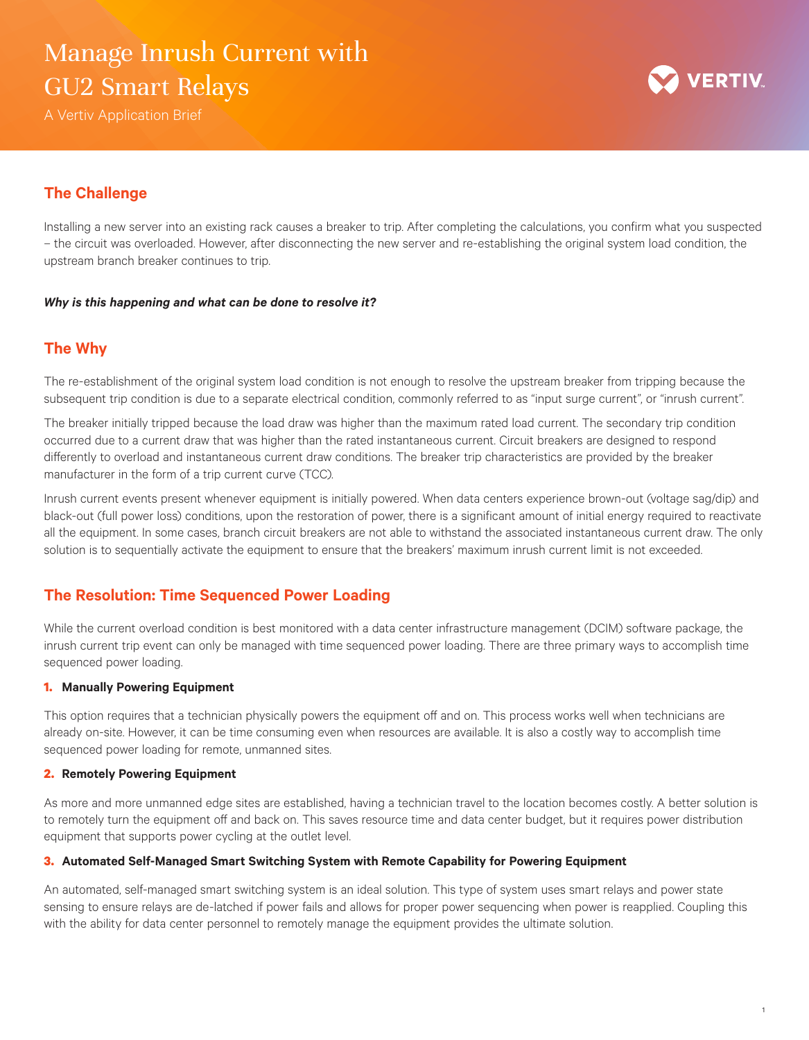## Manage Inrush Current with GU2 Smart Relays

A Vertiv Application Brief



## **The Challenge**

Installing a new server into an existing rack causes a breaker to trip. After completing the calculations, you confirm what you suspected – the circuit was overloaded. However, after disconnecting the new server and re-establishing the original system load condition, the upstream branch breaker continues to trip.

#### *Why is this happening and what can be done to resolve it?*

## **The Why**

The re-establishment of the original system load condition is not enough to resolve the upstream breaker from tripping because the subsequent trip condition is due to a separate electrical condition, commonly referred to as "input surge current", or "inrush current".

The breaker initially tripped because the load draw was higher than the maximum rated load current. The secondary trip condition occurred due to a current draw that was higher than the rated instantaneous current. Circuit breakers are designed to respond differently to overload and instantaneous current draw conditions. The breaker trip characteristics are provided by the breaker manufacturer in the form of a trip current curve (TCC).

Inrush current events present whenever equipment is initially powered. When data centers experience brown-out (voltage sag/dip) and black-out (full power loss) conditions, upon the restoration of power, there is a significant amount of initial energy required to reactivate all the equipment. In some cases, branch circuit breakers are not able to withstand the associated instantaneous current draw. The only solution is to sequentially activate the equipment to ensure that the breakers' maximum inrush current limit is not exceeded.

## **The Resolution: Time Sequenced Power Loading**

While the current overload condition is best monitored with a data center infrastructure management (DCIM) software package, the inrush current trip event can only be managed with time sequenced power loading. There are three primary ways to accomplish time sequenced power loading.

#### **1. Manually Powering Equipment**

This option requires that a technician physically powers the equipment off and on. This process works well when technicians are already on-site. However, it can be time consuming even when resources are available. It is also a costly way to accomplish time sequenced power loading for remote, unmanned sites.

#### **2. Remotely Powering Equipment**

As more and more unmanned edge sites are established, having a technician travel to the location becomes costly. A better solution is to remotely turn the equipment off and back on. This saves resource time and data center budget, but it requires power distribution equipment that supports power cycling at the outlet level.

#### **3. Automated Self-Managed Smart Switching System with Remote Capability for Powering Equipment**

An automated, self-managed smart switching system is an ideal solution. This type of system uses smart relays and power state sensing to ensure relays are de-latched if power fails and allows for proper power sequencing when power is reapplied. Coupling this with the ability for data center personnel to remotely manage the equipment provides the ultimate solution.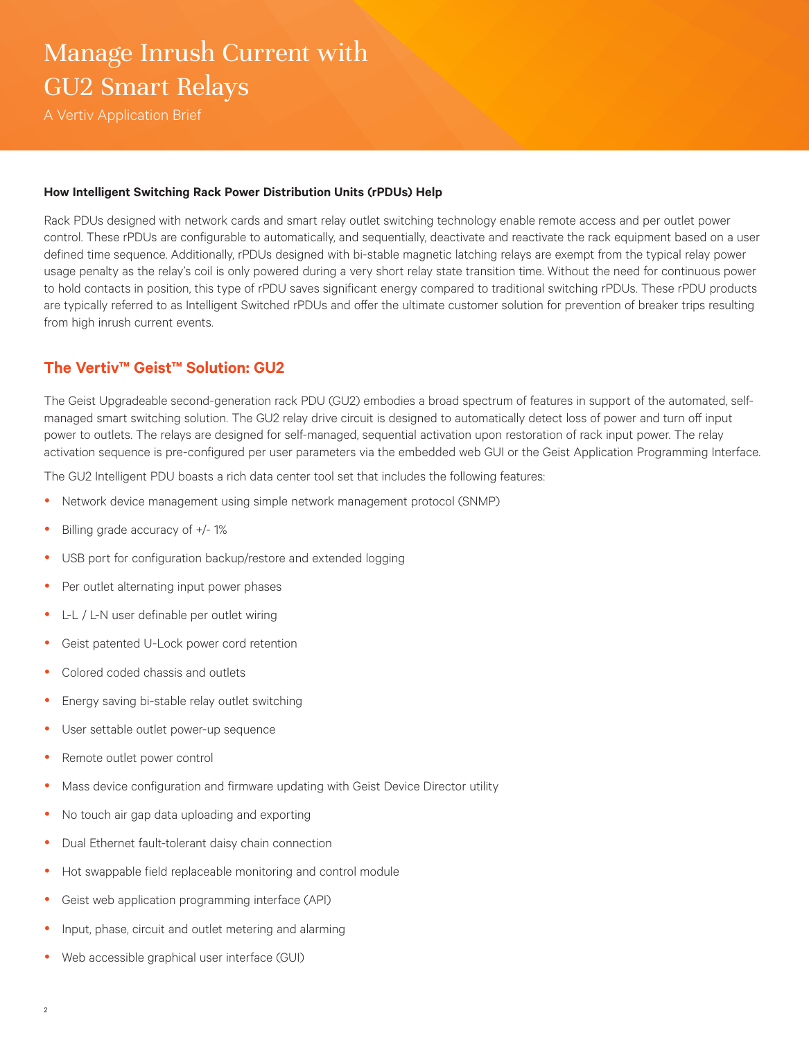# Manage Inrush Current with GU2 Smart Relays

A Vertiv Application Brief

#### **How Intelligent Switching Rack Power Distribution Units (rPDUs) Help**

Rack PDUs designed with network cards and smart relay outlet switching technology enable remote access and per outlet power control. These rPDUs are configurable to automatically, and sequentially, deactivate and reactivate the rack equipment based on a user defined time sequence. Additionally, rPDUs designed with bi-stable magnetic latching relays are exempt from the typical relay power usage penalty as the relay's coil is only powered during a very short relay state transition time. Without the need for continuous power to hold contacts in position, this type of rPDU saves significant energy compared to traditional switching rPDUs. These rPDU products are typically referred to as Intelligent Switched rPDUs and offer the ultimate customer solution for prevention of breaker trips resulting from high inrush current events.

## **The Vertiv™ Geist™ Solution: GU2**

The Geist Upgradeable second-generation rack PDU (GU2) embodies a broad spectrum of features in support of the automated, selfmanaged smart switching solution. The GU2 relay drive circuit is designed to automatically detect loss of power and turn off input power to outlets. The relays are designed for self-managed, sequential activation upon restoration of rack input power. The relay activation sequence is pre-configured per user parameters via the embedded web GUI or the Geist Application Programming Interface.

The GU2 Intelligent PDU boasts a rich data center tool set that includes the following features:

- Network device management using simple network management protocol (SNMP)
- Billing grade accuracy of  $+/- 1\%$
- USB port for configuration backup/restore and extended logging
- Per outlet alternating input power phases
- L-L / L-N user definable per outlet wiring
- Geist patented U-Lock power cord retention
- Colored coded chassis and outlets
- Energy saving bi-stable relay outlet switching
- User settable outlet power-up sequence
- Remote outlet power control
- Mass device configuration and firmware updating with Geist Device Director utility
- No touch air gap data uploading and exporting
- Dual Ethernet fault-tolerant daisy chain connection
- Hot swappable field replaceable monitoring and control module
- Geist web application programming interface (API)
- Input, phase, circuit and outlet metering and alarming
- Web accessible graphical user interface (GUI)